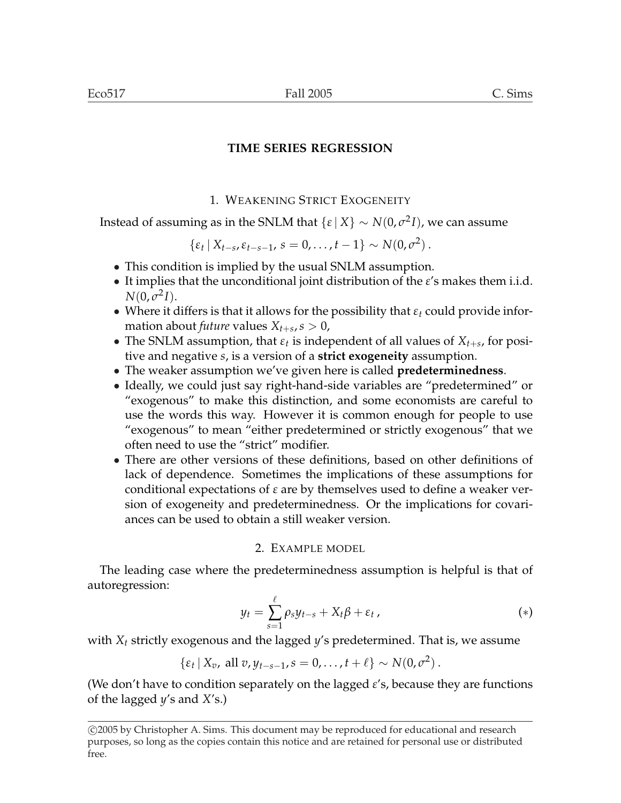# **TIME SERIES REGRESSION**

# 1. WEAKENING STRICT EXOGENEITY

Instead of assuming as in the SNLM that  $\{ \varepsilon \mid X \} \sim N(0, \sigma^2 I)$ , we can assume

 $\{\varepsilon_t | X_{t-s}, \varepsilon_{t-s-1}, s = 0, \ldots, t-1\} \sim N(0, \sigma^2).$ 

- This condition is implied by the usual SNLM assumption.
- It implies that the unconditional joint distribution of the *ε*'s makes them i.i.d.  $N(0, \sigma^2 I).$
- Where it differs is that it allows for the possibility that *ε<sup>t</sup>* could provide information about *future* values  $X_{t+s}$ ,  $s > 0$ ,
- The SNLM assumption, that  $\varepsilon_t$  is independent of all values of  $X_{t+s}$ , for positive and negative *s*, is a version of a **strict exogeneity** assumption.
- The weaker assumption we've given here is called **predeterminedness**.
- Ideally, we could just say right-hand-side variables are "predetermined" or "exogenous" to make this distinction, and some economists are careful to use the words this way. However it is common enough for people to use "exogenous" to mean "either predetermined or strictly exogenous" that we often need to use the "strict" modifier.
- There are other versions of these definitions, based on other definitions of lack of dependence. Sometimes the implications of these assumptions for conditional expectations of *ε* are by themselves used to define a weaker version of exogeneity and predeterminedness. Or the implications for covariances can be used to obtain a still weaker version.

## 2. EXAMPLE MODEL

The leading case where the predeterminedness assumption is helpful is that of autoregression:

$$
y_t = \sum_{s=1}^{\ell} \rho_s y_{t-s} + X_t \beta + \varepsilon_t \,, \tag{*}
$$

with *X<sup>t</sup>* strictly exogenous and the lagged *y*'s predetermined. That is, we assume

 $\{\varepsilon_t | X_v, \text{ all } v, y_{t-s-1}, s = 0, \ldots, t + \ell\} \sim N(0, \sigma^2).$ 

(We don't have to condition separately on the lagged *ε*'s, because they are functions of the lagged *y*'s and *X*'s.)

<sup>°</sup>c 2005 by Christopher A. Sims. This document may be reproduced for educational and research purposes, so long as the copies contain this notice and are retained for personal use or distributed free.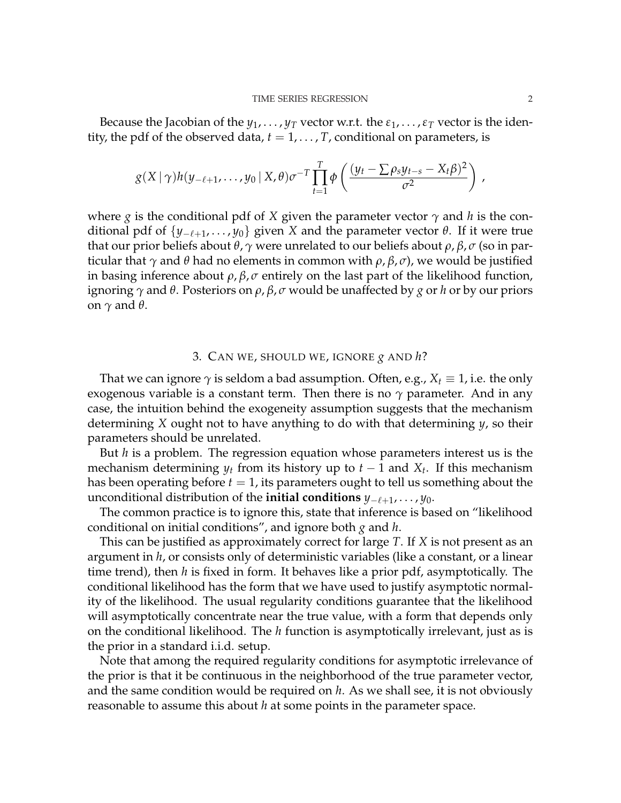Because the Jacobian of the  $y_1, \ldots, y_T$  vector w.r.t. the  $\varepsilon_1, \ldots, \varepsilon_T$  vector is the identity, the pdf of the observed data,  $t = 1, \ldots, T$ , conditional on parameters, is

$$
g(X \mid \gamma)h(y_{-\ell+1},\ldots,y_0 \mid X,\theta)\sigma^{-T}\prod_{t=1}^T\phi\left(\frac{(y_t-\sum \rho_sy_{t-s}-X_t\beta)^2}{\sigma^2}\right),
$$

where *g* is the conditional pdf of *X* given the parameter vector  $\gamma$  and *h* is the conditional pdf of  $\{y_{-\ell+1}, \ldots, y_0\}$  given *X* and the parameter vector *θ*. If it were true that our prior beliefs about *θ*, *γ* were unrelated to our beliefs about *ρ*, *β*, *σ* (so in particular that *γ* and *θ* had no elements in common with *ρ*, *β*, *σ*), we would be justified in basing inference about *ρ*, *β*, *σ* entirely on the last part of the likelihood function, ignoring *γ* and *θ*. Posteriors on *ρ*, *β*, *σ* would be unaffected by *g* or *h* or by our priors on *γ* and *θ*.

## 3. CAN WE, SHOULD WE, IGNORE *g* AND *h*?

That we can ignore  $\gamma$  is seldom a bad assumption. Often, e.g.,  $X_t \equiv 1$ , i.e. the only exogenous variable is a constant term. Then there is no  $\gamma$  parameter. And in any case, the intuition behind the exogeneity assumption suggests that the mechanism determining *X* ought not to have anything to do with that determining *y*, so their parameters should be unrelated.

But *h* is a problem. The regression equation whose parameters interest us is the mechanism determining  $y_t$  from its history up to  $t-1$  and  $X_t$ . If this mechanism has been operating before  $t = 1$ , its parameters ought to tell us something about the unconditional distribution of the **initial conditions**  $y_{-\ell+1}, \ldots, y_0$ .

The common practice is to ignore this, state that inference is based on "likelihood conditional on initial conditions", and ignore both *g* and *h*.

This can be justified as approximately correct for large *T*. If *X* is not present as an argument in *h*, or consists only of deterministic variables (like a constant, or a linear time trend), then *h* is fixed in form. It behaves like a prior pdf, asymptotically. The conditional likelihood has the form that we have used to justify asymptotic normality of the likelihood. The usual regularity conditions guarantee that the likelihood will asymptotically concentrate near the true value, with a form that depends only on the conditional likelihood. The *h* function is asymptotically irrelevant, just as is the prior in a standard i.i.d. setup.

Note that among the required regularity conditions for asymptotic irrelevance of the prior is that it be continuous in the neighborhood of the true parameter vector, and the same condition would be required on *h*. As we shall see, it is not obviously reasonable to assume this about *h* at some points in the parameter space.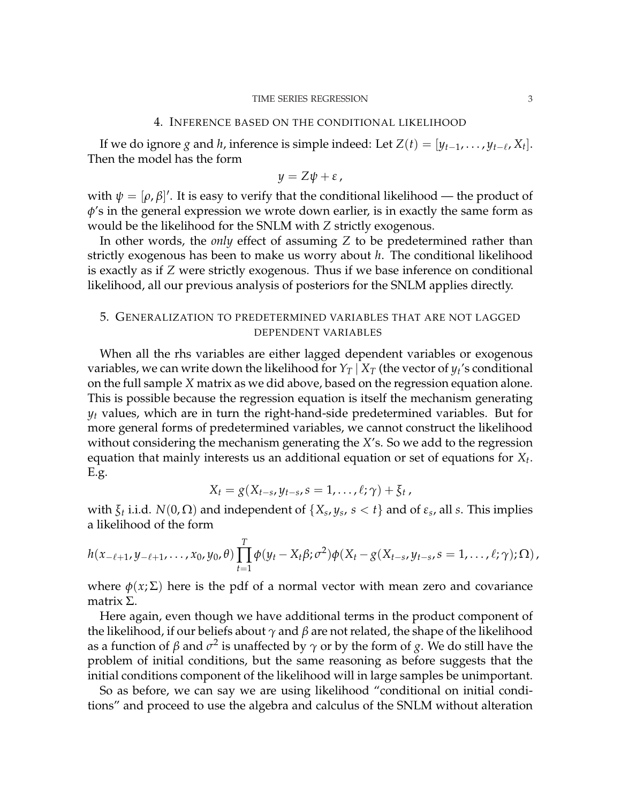#### 4. INFERENCE BASED ON THE CONDITIONAL LIKELIHOOD

If we do ignore *g* and *h*, inference is simple indeed: Let  $Z(t) = [y_{t-1}, \ldots, y_{t-\ell}, X_t].$ Then the model has the form

$$
y = Z\psi + \varepsilon,
$$

with  $\psi = [\rho, \beta]'$ . It is easy to verify that the conditional likelihood — the product of *φ*'s in the general expression we wrote down earlier, is in exactly the same form as would be the likelihood for the SNLM with *Z* strictly exogenous.

In other words, the *only* effect of assuming *Z* to be predetermined rather than strictly exogenous has been to make us worry about *h*. The conditional likelihood is exactly as if *Z* were strictly exogenous. Thus if we base inference on conditional likelihood, all our previous analysis of posteriors for the SNLM applies directly.

## 5. GENERALIZATION TO PREDETERMINED VARIABLES THAT ARE NOT LAGGED DEPENDENT VARIABLES

When all the rhs variables are either lagged dependent variables or exogenous variables, we can write down the likelihood for  $Y_T\,|\,X_T$  (the vector of  $y_t$ 's conditional on the full sample *X* matrix as we did above, based on the regression equation alone. This is possible because the regression equation is itself the mechanism generating *y<sup>t</sup>* values, which are in turn the right-hand-side predetermined variables. But for more general forms of predetermined variables, we cannot construct the likelihood without considering the mechanism generating the *X*'s. So we add to the regression equation that mainly interests us an additional equation or set of equations for *X<sup>t</sup>* . E.g.

$$
X_t = g(X_{t-s}, y_{t-s}, s = 1, \ldots, \ell; \gamma) + \xi_t,
$$

with  $\xi_t$  i.i.d.  $N(0,\Omega)$  and independent of  $\{X_s,y_s,\,s < t\}$  and of  $\varepsilon_s$ , all *s*. This implies a likelihood of the form

$$
h(x_{-\ell+1}, y_{-\ell+1}, \ldots, x_0, y_0, \theta) \prod_{t=1}^T \phi(y_t - X_t \beta; \sigma^2) \phi(X_t - g(X_{t-s}, y_{t-s}, s = 1, \ldots, \ell; \gamma); \Omega),
$$

where  $\phi(x;\Sigma)$  here is the pdf of a normal vector with mean zero and covariance matrix Σ.

Here again, even though we have additional terms in the product component of the likelihood, if our beliefs about *γ* and *β* are not related, the shape of the likelihood as a function of  $\beta$  and  $\sigma^2$  is unaffected by  $\gamma$  or by the form of *g*. We do still have the problem of initial conditions, but the same reasoning as before suggests that the initial conditions component of the likelihood will in large samples be unimportant.

So as before, we can say we are using likelihood "conditional on initial conditions" and proceed to use the algebra and calculus of the SNLM without alteration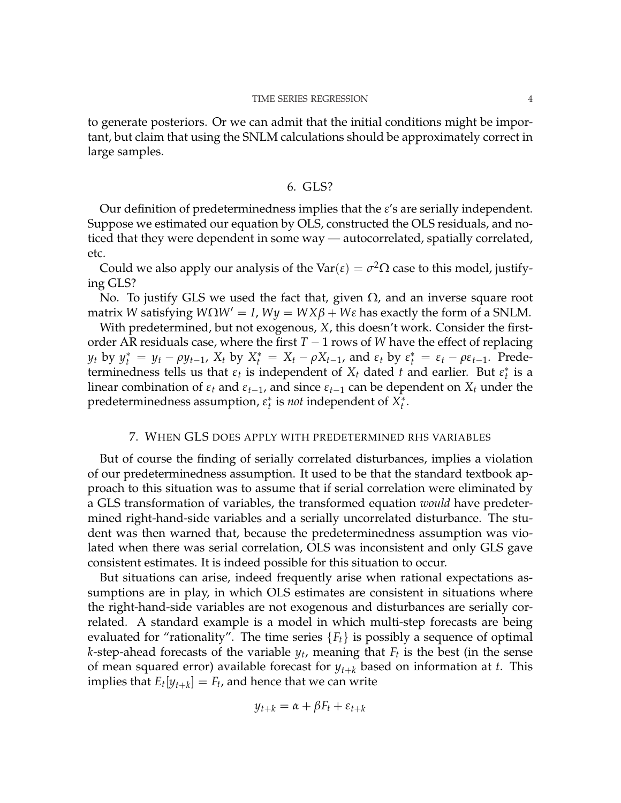to generate posteriors. Or we can admit that the initial conditions might be important, but claim that using the SNLM calculations should be approximately correct in large samples.

### 6. GLS?

Our definition of predeterminedness implies that the *ε*'s are serially independent. Suppose we estimated our equation by OLS, constructed the OLS residuals, and noticed that they were dependent in some way — autocorrelated, spatially correlated, etc.

Could we also apply our analysis of the Var( $\varepsilon$ ) =  $\sigma^2 \Omega$  case to this model, justifying GLS?

No. To justify GLS we used the fact that, given  $\Omega$ , and an inverse square root matrix *W* satisfying  $W\Omega W' = I$ ,  $Wy = WX\beta + W\epsilon$  has exactly the form of a SNLM.

With predetermined, but not exogenous, *X*, this doesn't work. Consider the firstorder AR residuals case, where the first *T* − 1 rows of *W* have the effect of replacing  $y_t$  by  $y_t^* = y_t - \rho y_{t-1}$ ,  $X_t$  by  $X_t^* = X_t - \rho X_{t-1}$ , and  $\varepsilon_t$  by  $\varepsilon_t^* = \varepsilon_t - \rho \varepsilon_{t-1}$ . Predeterminedness tells us that  $\varepsilon_t$  is independent of  $X_t$  dated  $t$  and earlier. But  $\varepsilon_t^*$  is a linear combination of  $\varepsilon_t$  and  $\varepsilon_{t-1}$ , and since  $\varepsilon_{t-1}$  can be dependent on  $X_t$  under the predeterminedness assumption,  $\varepsilon_t^*$  is *not* independent of  $X_t^*$ .

## 7. WHEN GLS DOES APPLY WITH PREDETERMINED RHS VARIABLES

But of course the finding of serially correlated disturbances, implies a violation of our predeterminedness assumption. It used to be that the standard textbook approach to this situation was to assume that if serial correlation were eliminated by a GLS transformation of variables, the transformed equation *would* have predetermined right-hand-side variables and a serially uncorrelated disturbance. The student was then warned that, because the predeterminedness assumption was violated when there was serial correlation, OLS was inconsistent and only GLS gave consistent estimates. It is indeed possible for this situation to occur.

But situations can arise, indeed frequently arise when rational expectations assumptions are in play, in which OLS estimates are consistent in situations where the right-hand-side variables are not exogenous and disturbances are serially correlated. A standard example is a model in which multi-step forecasts are being evaluated for "rationality". The time series  ${F_t}$  is possibly a sequence of optimal *k*-step-ahead forecasts of the variable *y<sup>t</sup>* , meaning that *F<sup>t</sup>* is the best (in the sense of mean squared error) available forecast for  $y_{t+k}$  based on information at *t*. This implies that  $E_t[y_{t+k}] = F_t$ , and hence that we can write

$$
y_{t+k} = \alpha + \beta F_t + \varepsilon_{t+k}
$$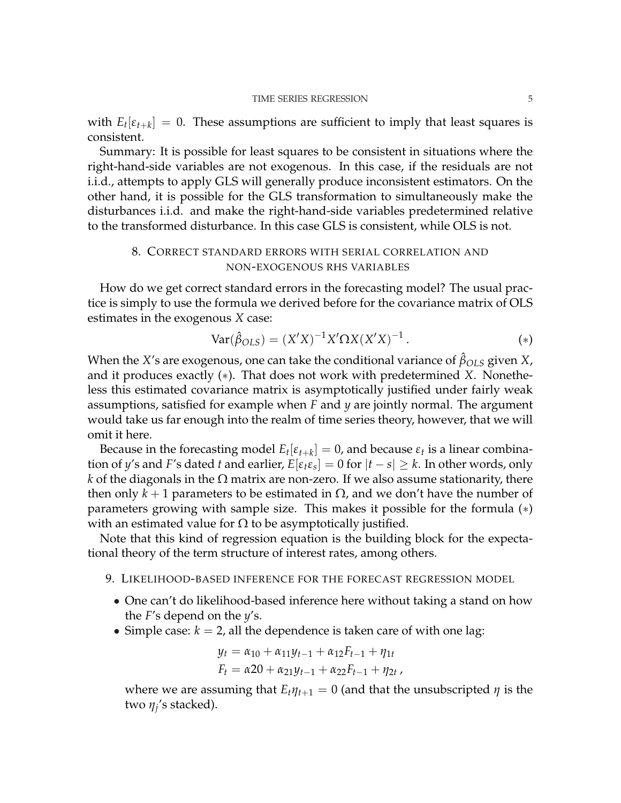with  $E_t[\varepsilon_{t+k}] = 0$ . These assumptions are sufficient to imply that least squares is consistent.

Summary: It is possible for least squares to be consistent in situations where the right-hand-side variables are not exogenous. In this case, if the residuals are not i.i.d., attempts to apply GLS will generally produce inconsistent estimators. On the other hand, it is possible for the GLS transformation to simultaneously make the disturbances i.i.d. and make the right-hand-side variables predetermined relative to the transformed disturbance. In this case GLS is consistent, while OLS is not.

## 8. CORRECT STANDARD ERRORS WITH SERIAL CORRELATION AND NON-EXOGENOUS RHS VARIABLES

How do we get correct standard errors in the forecasting model? The usual practice is simply to use the formula we derived before for the covariance matrix of OLS estimates in the exogenous *X* case:

$$
Var(\hat{\beta}_{OLS}) = (X'X)^{-1}X'\Omega X(X'X)^{-1}.
$$
 (\*)

When the *X*'s are exogenous, one can take the conditional variance of  $\hat{\beta}_{OLS}$  given *X*, and it produces exactly (∗). That does not work with predetermined *X*. Nonetheless this estimated covariance matrix is asymptotically justified under fairly weak assumptions, satisfied for example when *F* and *y* are jointly normal. The argument would take us far enough into the realm of time series theory, however, that we will omit it here.

Because in the forecasting model  $E_t[\varepsilon_{t+k}] = 0$ , and because  $\varepsilon_t$  is a linear combination of  $y$ 's and  $F$ 's dated  $t$  and earlier,  $E[\varepsilon_t \varepsilon_s] = 0$  for  $|t - s| \geq k.$  In other words, only *k* of the diagonals in the  $\Omega$  matrix are non-zero. If we also assume stationarity, there then only  $k + 1$  parameters to be estimated in  $\Omega$ , and we don't have the number of parameters growing with sample size. This makes it possible for the formula (∗) with an estimated value for  $\Omega$  to be asymptotically justified.

Note that this kind of regression equation is the building block for the expectational theory of the term structure of interest rates, among others.

- 9. LIKELIHOOD-BASED INFERENCE FOR THE FORECAST REGRESSION MODEL
	- One can't do likelihood-based inference here without taking a stand on how the *F*'s depend on the *y*'s.
	- Simple case:  $k = 2$ , all the dependence is taken care of with one lag:

$$
y_t = \alpha_{10} + \alpha_{11}y_{t-1} + \alpha_{12}F_{t-1} + \eta_{1t}
$$
  

$$
F_t = \alpha_{20} + \alpha_{21}y_{t-1} + \alpha_{22}F_{t-1} + \eta_{2t}
$$

where we are assuming that  $E_t \eta_{t+1} = 0$  (and that the unsubscripted  $\eta$  is the two *η<sup>j</sup>* 's stacked).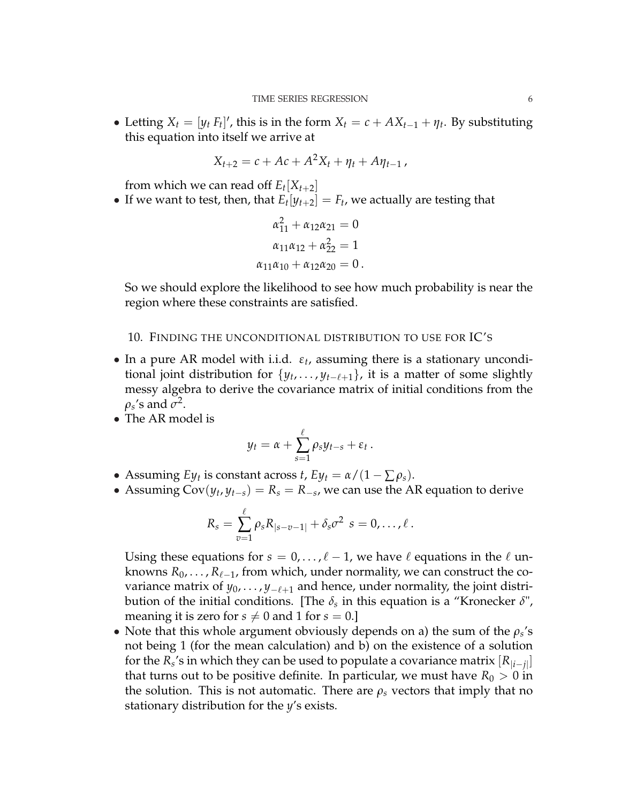• Letting  $X_t = [y_t F_t]'$ , this is in the form  $X_t = c + AX_{t-1} + \eta_t$ . By substituting this equation into itself we arrive at

$$
X_{t+2} = c + Ac + A^2 X_t + \eta_t + A \eta_{t-1} \,,
$$

from which we can read off  $E_t[X_{t+2}]$ 

• If we want to test, then, that  $E_t[y_{t+2}] = F_t$ , we actually are testing that

$$
\alpha_{11}^{2} + \alpha_{12}\alpha_{21} = 0
$$

$$
\alpha_{11}\alpha_{12} + \alpha_{22}^{2} = 1
$$

$$
\alpha_{11}\alpha_{10} + \alpha_{12}\alpha_{20} = 0.
$$

So we should explore the likelihood to see how much probability is near the region where these constraints are satisfied.

### 10. FINDING THE UNCONDITIONAL DISTRIBUTION TO USE FOR IC'S

- In a pure AR model with i.i.d. *ε<sup>t</sup>* , assuming there is a stationary unconditional joint distribution for  $\{y_t, \ldots, y_{t-\ell+1}\}$ , it is a matter of some slightly messy algebra to derive the covariance matrix of initial conditions from the  $\rho_s$ 's and  $\sigma^2$ .
- The AR model is

$$
y_t = \alpha + \sum_{s=1}^{\ell} \rho_s y_{t-s} + \varepsilon_t.
$$

- Assuming *Ey<sub>t</sub>* is constant across *t*,  $E y_t = \alpha/(1 \sum \rho_s)$ .
- Assuming  $Cov(y_t, y_{t-s}) = R_s = R_{-s}$ , we can use the AR equation to derive

$$
R_s=\sum_{v=1}^{\ell}\rho_sR_{|s-v-1|}+\delta_s\sigma^2\ \ s=0,\ldots,\ell\ .
$$

Using these equations for  $s = 0, \ldots, \ell - 1$ , we have  $\ell$  equations in the  $\ell$  unknowns  $R_0, \ldots, R_{\ell-1}$ , from which, under normality, we can construct the covariance matrix of  $y_0, \ldots, y_{-\ell+1}$  and hence, under normality, the joint distribution of the initial conditions. [The *δ<sup>s</sup>* in this equation is a "Kronecker *δ*", meaning it is zero for  $s \neq 0$  and 1 for  $s = 0$ .]

• Note that this whole argument obviously depends on a) the sum of the  $\rho_s$ 's not being 1 (for the mean calculation) and b) on the existence of a solution for the  $R_s$ 's in which they can be used to populate a covariance matrix  $[R_{|i-j|}]$ that turns out to be positive definite. In particular, we must have  $R_0 > 0$  in the solution. This is not automatic. There are  $\rho_s$  vectors that imply that no stationary distribution for the *y*'s exists.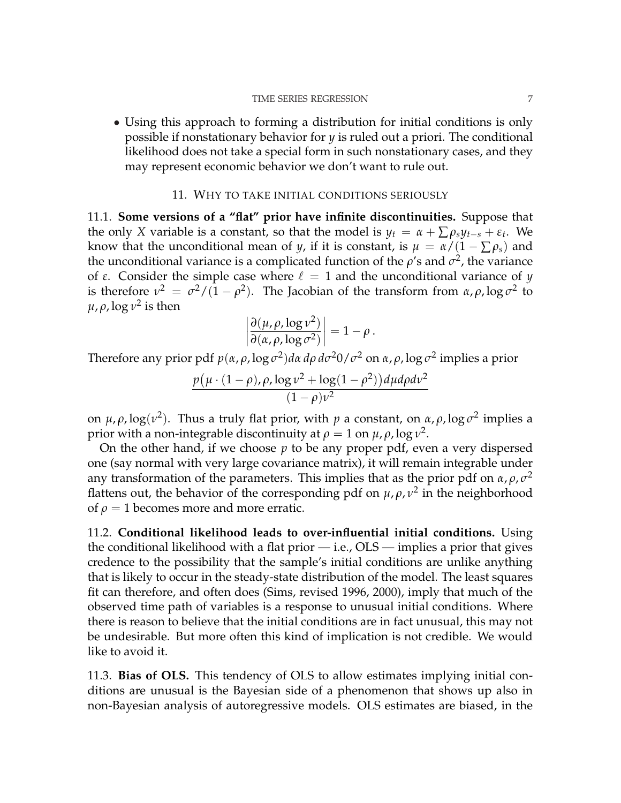• Using this approach to forming a distribution for initial conditions is only possible if nonstationary behavior for *y* is ruled out a priori. The conditional likelihood does not take a special form in such nonstationary cases, and they may represent economic behavior we don't want to rule out.

### 11. WHY TO TAKE INITIAL CONDITIONS SERIOUSLY

11.1. **Some versions of a "flat" prior have infinite discontinuities.** Suppose that the only *X* variable is a constant, so that the model is  $y_t = \alpha + \sum \rho_s y_{t-s} + \varepsilon_t$ . We know that the unconditional mean of *y*, if it is constant, is  $\mu = \alpha/(1 - \sum \rho_s)$  and the unconditional variance is a complicated function of the  $\rho$ 's and  $\sigma^2$ , the variance of *ε*. Consider the simple case where  $\ell = 1$  and the unconditional variance of *y* is therefore  $v^2 = \frac{\sigma^2}{(1-\rho^2)}$ . The Jacobian of the transform from  $\alpha, \rho, \log \sigma^2$  to  $\mu$ ,  $\rho$ , log  $\nu^2$  is then  $\overline{a}$  $\overline{a}$ 

$$
\left|\frac{\partial(\mu,\rho,\log\nu^2)}{\partial(\alpha,\rho,\log\sigma^2)}\right|=1-\rho.
$$

Therefore any prior pdf *p*(*α*, *ρ*, log *σ* 2 )*dα dρ dσ* <sup>2</sup>0/*σ* <sup>2</sup> on *α*, *ρ*, log *σ* 2 implies a prior

$$
\frac{p(\mu \cdot (1-\rho), \rho, \log \nu^2 + \log(1-\rho^2))d\mu d\rho d\nu^2}{(1-\rho)\nu^2}
$$

on  $\mu$ ,  $\rho$ , log( $v^2$ ). Thus a truly flat prior, with  $p$  a constant, on  $\alpha$ ,  $\rho$ , log  $\sigma^2$  implies a prior with a non-integrable discontinuity at  $\rho = 1$  on  $\mu$ ,  $\rho$ , log  $\nu^2$ .

On the other hand, if we choose *p* to be any proper pdf, even a very dispersed one (say normal with very large covariance matrix), it will remain integrable under any transformation of the parameters. This implies that as the prior pdf on  $\alpha$ ,  $\rho$ ,  $\sigma^2$ flattens out, the behavior of the corresponding pdf on  $\mu$ ,  $\rho$ ,  $\nu^2$  in the neighborhood of  $\rho = 1$  becomes more and more erratic.

11.2. **Conditional likelihood leads to over-influential initial conditions.** Using the conditional likelihood with a flat prior  $-$  i.e.,  $OLS -$  implies a prior that gives credence to the possibility that the sample's initial conditions are unlike anything that is likely to occur in the steady-state distribution of the model. The least squares fit can therefore, and often does (Sims, revised 1996, 2000), imply that much of the observed time path of variables is a response to unusual initial conditions. Where there is reason to believe that the initial conditions are in fact unusual, this may not be undesirable. But more often this kind of implication is not credible. We would like to avoid it.

11.3. **Bias of OLS.** This tendency of OLS to allow estimates implying initial conditions are unusual is the Bayesian side of a phenomenon that shows up also in non-Bayesian analysis of autoregressive models. OLS estimates are biased, in the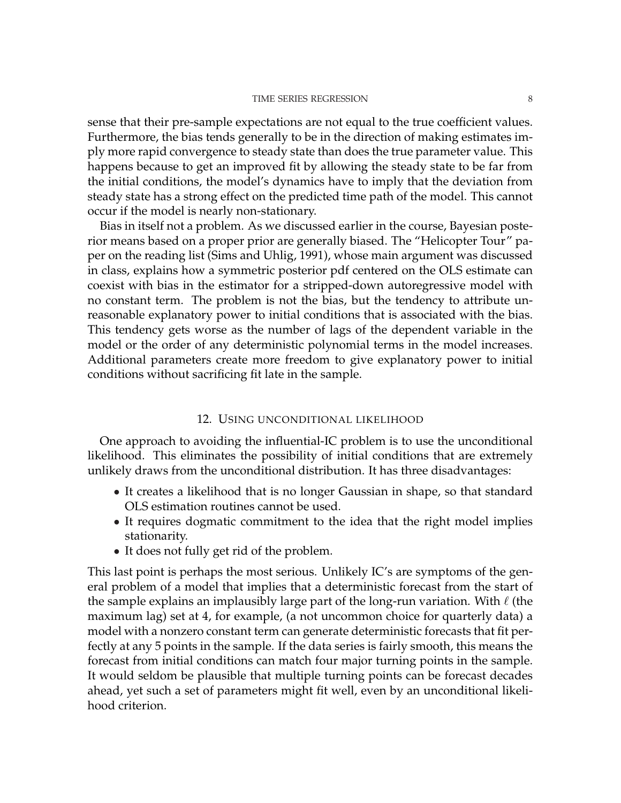sense that their pre-sample expectations are not equal to the true coefficient values. Furthermore, the bias tends generally to be in the direction of making estimates imply more rapid convergence to steady state than does the true parameter value. This happens because to get an improved fit by allowing the steady state to be far from the initial conditions, the model's dynamics have to imply that the deviation from steady state has a strong effect on the predicted time path of the model. This cannot occur if the model is nearly non-stationary.

Bias in itself not a problem. As we discussed earlier in the course, Bayesian posterior means based on a proper prior are generally biased. The "Helicopter Tour" paper on the reading list (Sims and Uhlig, 1991), whose main argument was discussed in class, explains how a symmetric posterior pdf centered on the OLS estimate can coexist with bias in the estimator for a stripped-down autoregressive model with no constant term. The problem is not the bias, but the tendency to attribute unreasonable explanatory power to initial conditions that is associated with the bias. This tendency gets worse as the number of lags of the dependent variable in the model or the order of any deterministic polynomial terms in the model increases. Additional parameters create more freedom to give explanatory power to initial conditions without sacrificing fit late in the sample.

### 12. USING UNCONDITIONAL LIKELIHOOD

One approach to avoiding the influential-IC problem is to use the unconditional likelihood. This eliminates the possibility of initial conditions that are extremely unlikely draws from the unconditional distribution. It has three disadvantages:

- It creates a likelihood that is no longer Gaussian in shape, so that standard OLS estimation routines cannot be used.
- It requires dogmatic commitment to the idea that the right model implies stationarity.
- It does not fully get rid of the problem.

This last point is perhaps the most serious. Unlikely IC's are symptoms of the general problem of a model that implies that a deterministic forecast from the start of the sample explains an implausibly large part of the long-run variation. With  $\ell$  (the maximum lag) set at 4, for example, (a not uncommon choice for quarterly data) a model with a nonzero constant term can generate deterministic forecasts that fit perfectly at any 5 points in the sample. If the data series is fairly smooth, this means the forecast from initial conditions can match four major turning points in the sample. It would seldom be plausible that multiple turning points can be forecast decades ahead, yet such a set of parameters might fit well, even by an unconditional likelihood criterion.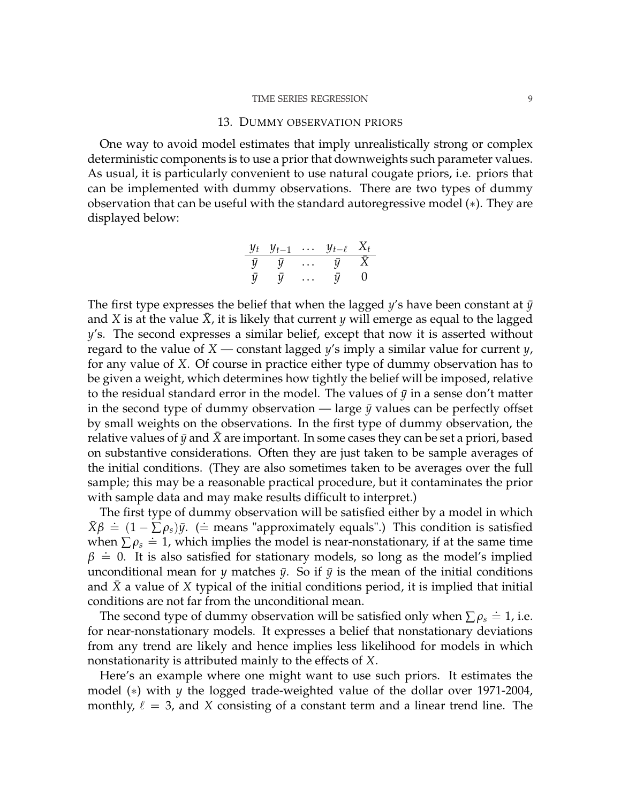#### TIME SERIES REGRESSION 9

#### 13. DUMMY OBSERVATION PRIORS

One way to avoid model estimates that imply unrealistically strong or complex deterministic components is to use a prior that downweights such parameter values. As usual, it is particularly convenient to use natural cougate priors, i.e. priors that can be implemented with dummy observations. There are two types of dummy observation that can be useful with the standard autoregressive model (∗). They are displayed below:

$$
\begin{array}{c}\n\frac{y_t}{\bar{y}} \quad \frac{y_{t-1}}{\bar{y}} \quad \dots \quad \frac{y_{t-\ell}}{\bar{y}} \quad \frac{X_t}{\bar{X}} \\
\bar{y} \quad \bar{y} \quad \dots \quad \bar{y} \quad 0\n\end{array}
$$

The first type expresses the belief that when the lagged y's have been constant at  $\bar{y}$ and *X* is at the value *X*, it is likely that current *y* will emerge as equal to the lagged *y*'s. The second expresses a similar belief, except that now it is asserted without regard to the value of *X* — constant lagged *y*'s imply a similar value for current *y*, for any value of *X*. Of course in practice either type of dummy observation has to be given a weight, which determines how tightly the belief will be imposed, relative to the residual standard error in the model. The values of  $\bar{y}$  in a sense don't matter in the second type of dummy observation — large  $\bar{y}$  values can be perfectly offset by small weights on the observations. In the first type of dummy observation, the relative values of  $\bar{y}$  and  $\bar{X}$  are important. In some cases they can be set a priori, based on substantive considerations. Often they are just taken to be sample averages of the initial conditions. (They are also sometimes taken to be averages over the full sample; this may be a reasonable practical procedure, but it contaminates the prior with sample data and may make results difficult to interpret.)

The first type of dummy observation will be satisfied either by a model in which  $\bar{X}\beta \doteq (1 - \sum \rho_s)\bar{y}$ . (= means "approximately equals".) This condition is satisfied when  $\sum \rho_s = 1$ , which implies the model is near-nonstationary, if at the same time  $\beta \doteq 0$ . It is also satisfied for stationary models, so long as the model's implied unconditional mean for *y* matches  $\bar{y}$ . So if  $\bar{y}$  is the mean of the initial conditions and *X*¯ a value of *X* typical of the initial conditions period, it is implied that initial conditions are not far from the unconditional mean.

The second type of dummy observation will be satisfied only when  $\sum \rho_s \doteq 1$ , i.e. for near-nonstationary models. It expresses a belief that nonstationary deviations from any trend are likely and hence implies less likelihood for models in which nonstationarity is attributed mainly to the effects of *X*.

Here's an example where one might want to use such priors. It estimates the model (∗) with *y* the logged trade-weighted value of the dollar over 1971-2004, monthly,  $\ell = 3$ , and *X* consisting of a constant term and a linear trend line. The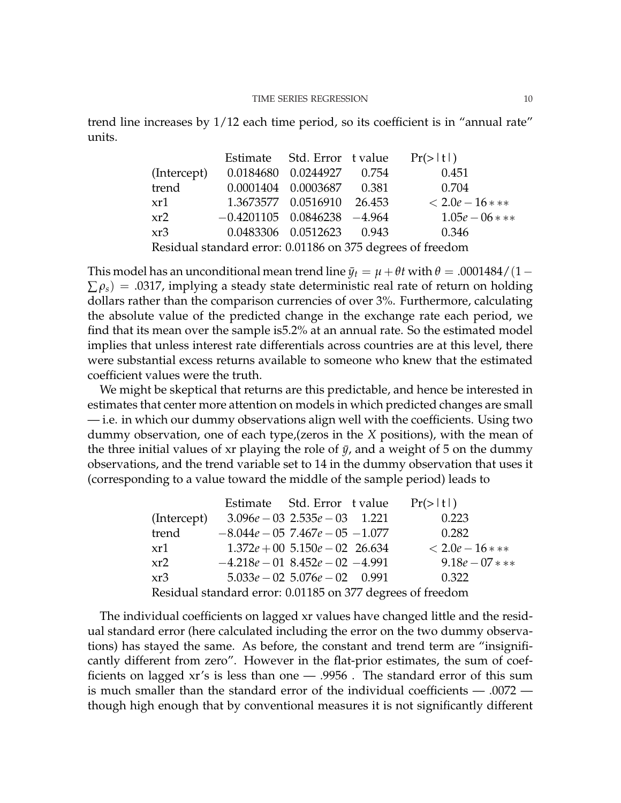trend line increases by 1/12 each time period, so its coefficient is in "annual rate" units.

|                                                            |                                   | Estimate Std. Error t value  |  | Pr(>  t )         |  |  |  |
|------------------------------------------------------------|-----------------------------------|------------------------------|--|-------------------|--|--|--|
| (Intercept)                                                |                                   | 0.0184680  0.0244927  0.754  |  | 0.451             |  |  |  |
| trend                                                      | 0.0001404 0.0003687 0.381         |                              |  | 0.704             |  |  |  |
| xr1                                                        |                                   | 1.3673577  0.0516910  26.453 |  | $< 2.0e - 16$ *** |  |  |  |
| xr2                                                        | $-0.4201105$ $0.0846238$ $-4.964$ |                              |  | $1.05e-06***$     |  |  |  |
| xr3                                                        |                                   | 0.0483306  0.0512623  0.943  |  | 0.346             |  |  |  |
| Residual standard error: 0.01186 on 375 degrees of freedom |                                   |                              |  |                   |  |  |  |

This model has an unconditional mean trend line  $\bar{y}_t = \mu + \theta t$  with  $\theta = .0001484/(1 \sum \rho_s$ ) = .0317, implying a steady state deterministic real rate of return on holding dollars rather than the comparison currencies of over 3%. Furthermore, calculating the absolute value of the predicted change in the exchange rate each period, we find that its mean over the sample is5.2% at an annual rate. So the estimated model implies that unless interest rate differentials across countries are at this level, there were substantial excess returns available to someone who knew that the estimated coefficient values were the truth.

We might be skeptical that returns are this predictable, and hence be interested in estimates that center more attention on models in which predicted changes are small — i.e. in which our dummy observations align well with the coefficients. Using two dummy observation, one of each type,(zeros in the *X* positions), with the mean of the three initial values of xr playing the role of  $\bar{y}$ , and a weight of 5 on the dummy observations, and the trend variable set to 14 in the dummy observation that uses it (corresponding to a value toward the middle of the sample period) leads to

|                                                            |                                        | Estimate Std. Error t value        |  | Pr(>  t )        |  |  |
|------------------------------------------------------------|----------------------------------------|------------------------------------|--|------------------|--|--|
| (Intercept)                                                | $3.096e - 03$ $2.535e - 03$ $1.221$    |                                    |  | 0.223            |  |  |
| trend                                                      | $-8.044e - 05$ 7.467 $e - 05$ $-1.077$ |                                    |  | 0.282            |  |  |
| xr1                                                        |                                        | $1.372e + 00$ $5.150e - 02$ 26.634 |  | $< 2.0e-16$ ***  |  |  |
| xr2                                                        | $-4.218e - 018.452e - 02 - 4.991$      |                                    |  | $9.18e - 07$ *** |  |  |
| xr3                                                        |                                        | $5.033e - 02$ $5.076e - 02$ 0.991  |  | 0.322            |  |  |
| Residual standard error: 0.01185 on 377 degrees of freedom |                                        |                                    |  |                  |  |  |

The individual coefficients on lagged xr values have changed little and the residual standard error (here calculated including the error on the two dummy observations) has stayed the same. As before, the constant and trend term are "insignificantly different from zero". However in the flat-prior estimates, the sum of coefficients on lagged xr's is less than one — .9956 . The standard error of this sum is much smaller than the standard error of the individual coefficients — .0072 though high enough that by conventional measures it is not significantly different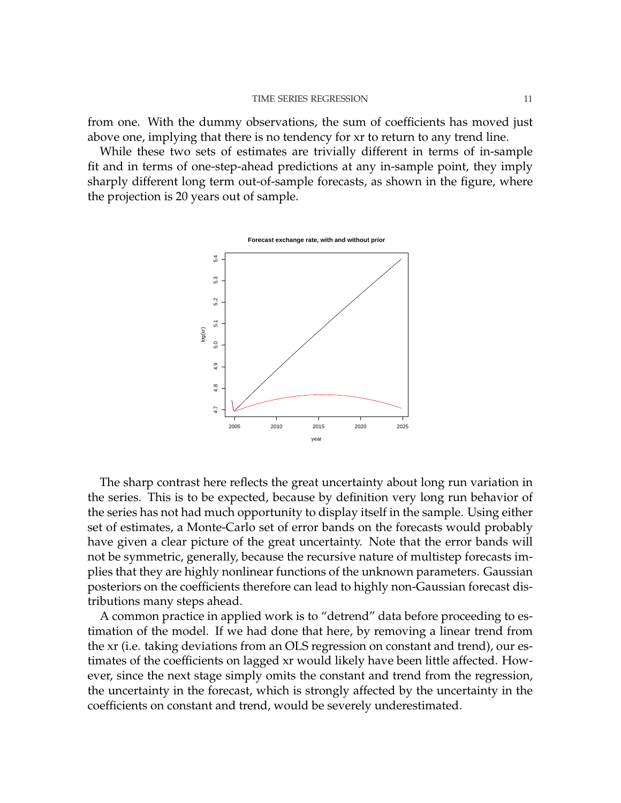from one. With the dummy observations, the sum of coefficients has moved just above one, implying that there is no tendency for xr to return to any trend line.

While these two sets of estimates are trivially different in terms of in-sample fit and in terms of one-step-ahead predictions at any in-sample point, they imply sharply different long term out-of-sample forecasts, as shown in the figure, where the projection is 20 years out of sample.



The sharp contrast here reflects the great uncertainty about long run variation in the series. This is to be expected, because by definition very long run behavior of the series has not had much opportunity to display itself in the sample. Using either set of estimates, a Monte-Carlo set of error bands on the forecasts would probably have given a clear picture of the great uncertainty. Note that the error bands will not be symmetric, generally, because the recursive nature of multistep forecasts implies that they are highly nonlinear functions of the unknown parameters. Gaussian posteriors on the coefficients therefore can lead to highly non-Gaussian forecast distributions many steps ahead.

A common practice in applied work is to "detrend" data before proceeding to estimation of the model. If we had done that here, by removing a linear trend from the xr (i.e. taking deviations from an OLS regression on constant and trend), our estimates of the coefficients on lagged xr would likely have been little affected. However, since the next stage simply omits the constant and trend from the regression, the uncertainty in the forecast, which is strongly affected by the uncertainty in the coefficients on constant and trend, would be severely underestimated.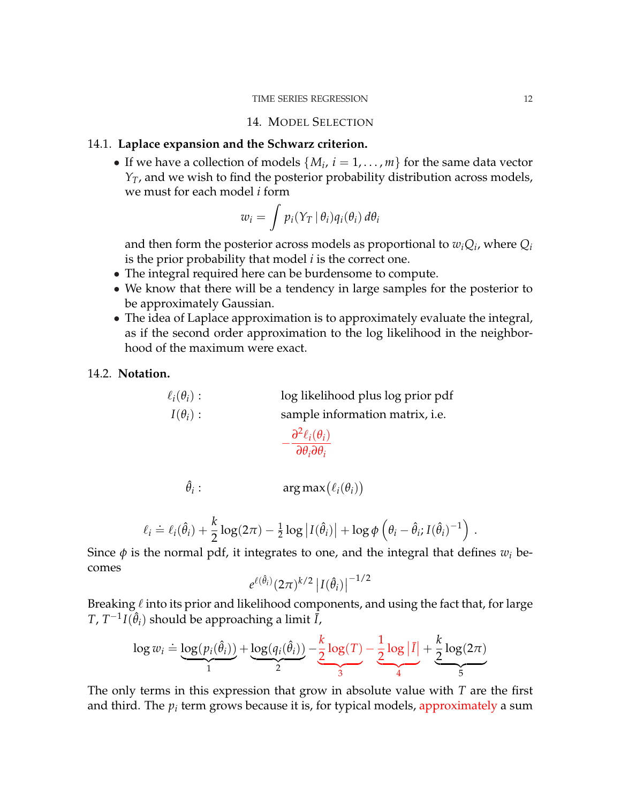#### TIME SERIES REGRESSION 12

### 14. MODEL SELECTION

### 14.1. **Laplace expansion and the Schwarz criterion.**

• If we have a collection of models  $\{M_i, i = 1, \ldots, m\}$  for the same data vector *Y*<sub>*T*</sub>, and we wish to find the posterior probability distribution across models, we must for each model *i* form

$$
w_i = \int p_i(Y_T | \theta_i) q_i(\theta_i) d\theta_i
$$

and then form the posterior across models as proportional to  $w_iQ_i$ , where  $Q_i$ is the prior probability that model *i* is the correct one.

- The integral required here can be burdensome to compute.
- We know that there will be a tendency in large samples for the posterior to be approximately Gaussian.
- The idea of Laplace approximation is to approximately evaluate the integral, as if the second order approximation to the log likelihood in the neighborhood of the maximum were exact.

## 14.2. **Notation.**

 $\ell_i(\theta_i)$ : log likelihood plus log prior pdf  $I(\theta_i)$ : sample information matrix, i.e.

$$
-\frac{\partial^2 \ell_i(\theta_i)}{\partial \theta_i \partial \theta_i}
$$

$$
\hat{\theta}_i: \qquad \qquad \arg \max(\ell_i(\theta_i))
$$

$$
\ell_i \doteq \ell_i(\hat{\theta}_i) + \frac{k}{2}\log(2\pi) - \frac{1}{2}\log|I(\hat{\theta}_i)| + \log \phi\left(\theta_i - \hat{\theta}_i; I(\hat{\theta}_i)^{-1}\right).
$$

Since  $\phi$  is the normal pdf, it integrates to one, and the integral that defines  $w_i$  becomes

$$
e^{\ell(\hat{\theta}_i)} (2\pi)^{k/2} \left| I(\hat{\theta}_i) \right|^{-1/2}
$$

Breaking  $\ell$  into its prior and likelihood components, and using the fact that, for large  $T$ ,  $T^{-1}I(\hat{\theta}_i)$  should be approaching a limit  $\tilde{I}$ ,

$$
\log w_i \doteq \underbrace{\log(p_i(\hat{\theta}_i))}_{1} + \underbrace{\log(q_i(\hat{\theta}_i))}_{2} - \underbrace{\frac{k}{2}\log(T)}_{3} - \underbrace{\frac{1}{2}\log|\bar{I}|}_{4} + \underbrace{\frac{k}{2}\log(2\pi)}_{5}
$$

The only terms in this expression that grow in absolute value with *T* are the first and third. The  $p_i$  term grows because it is, for typical models, approximately a sum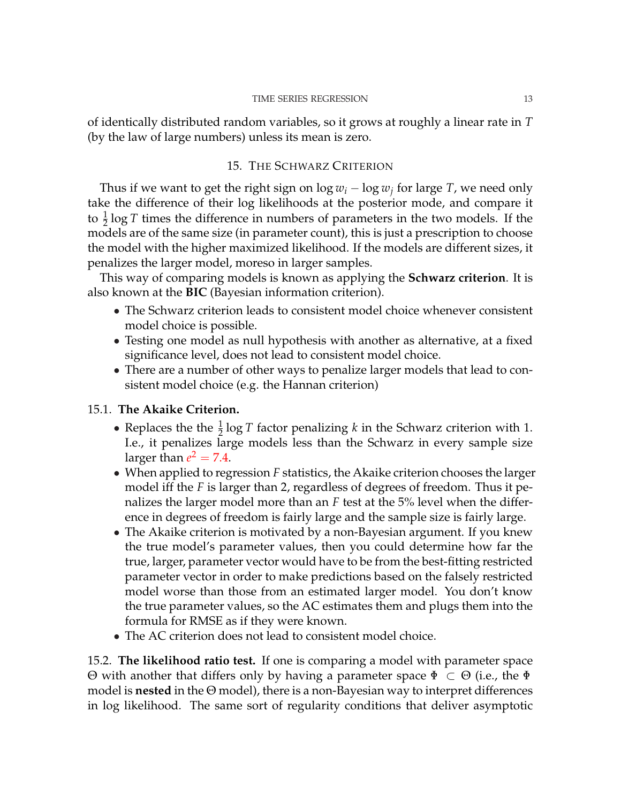of identically distributed random variables, so it grows at roughly a linear rate in *T* (by the law of large numbers) unless its mean is zero.

# 15. THE SCHWARZ CRITERION

Thus if we want to get the right sign on  $\log w_i - \log w_j$  for large *T*, we need only take the difference of their log likelihoods at the posterior mode, and compare it to  $\frac{1}{2}$  log *T* times the difference in numbers of parameters in the two models. If the models are of the same size (in parameter count), this is just a prescription to choose the model with the higher maximized likelihood. If the models are different sizes, it penalizes the larger model, moreso in larger samples.

This way of comparing models is known as applying the **Schwarz criterion**. It is also known at the **BIC** (Bayesian information criterion).

- The Schwarz criterion leads to consistent model choice whenever consistent model choice is possible.
- Testing one model as null hypothesis with another as alternative, at a fixed significance level, does not lead to consistent model choice.
- There are a number of other ways to penalize larger models that lead to consistent model choice (e.g. the Hannan criterion)

# 15.1. **The Akaike Criterion.**

- Replaces the the  $\frac{1}{2} \log T$  factor penalizing *k* in the Schwarz criterion with 1. I.e., it penalizes large models less than the Schwarz in every sample size larger than  $e^2 = 7.4$ .
- When applied to regression *F* statistics, the Akaike criterion chooses the larger model iff the *F* is larger than 2, regardless of degrees of freedom. Thus it penalizes the larger model more than an *F* test at the 5% level when the difference in degrees of freedom is fairly large and the sample size is fairly large.
- The Akaike criterion is motivated by a non-Bayesian argument. If you knew the true model's parameter values, then you could determine how far the true, larger, parameter vector would have to be from the best-fitting restricted parameter vector in order to make predictions based on the falsely restricted model worse than those from an estimated larger model. You don't know the true parameter values, so the AC estimates them and plugs them into the formula for RMSE as if they were known.
- The AC criterion does not lead to consistent model choice.

15.2. **The likelihood ratio test.** If one is comparing a model with parameter space Θ with another that differs only by having a parameter space Φ ⊂ Θ (i.e., the Φ model is **nested** in the Θ model), there is a non-Bayesian way to interpret differences in log likelihood. The same sort of regularity conditions that deliver asymptotic